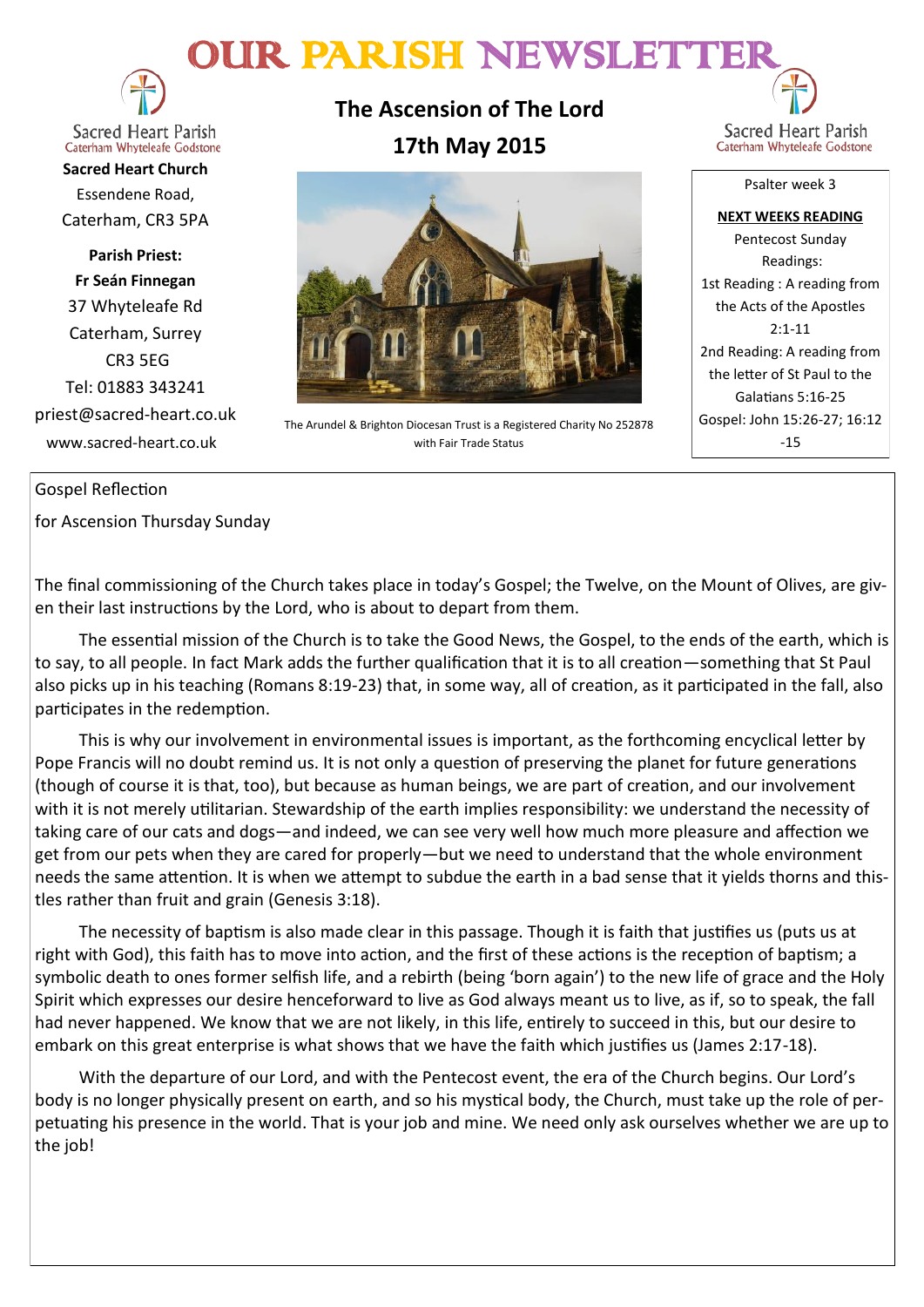# OUR PARISH NEWSLETTE



**Sacred Heart Parish** Caterham Whyteleafe Godstone

**Sacred Heart Church** Essendene Road, Caterham, CR3 5PA

**Parish Priest: Fr Seán Finnegan** 37 Whyteleafe Rd Caterham, Surrey CR3 5EG Tel: 01883 343241 priest@sacred-heart.co.uk www.sacred-heart.co.uk

**The Ascension of The Lord 17th May 2015**



The Arundel & Brighton Diocesan Trust is a Registered Charity No 252878 with Fair Trade Status

Sacred Heart Parish Caterham Whyteleafe Godstone

Psalter week 3

**NEXT WEEKS READING** Pentecost Sunday Readings: 1st Reading : A reading from the Acts of the Apostles 2:1-11 2nd Reading: A reading from the letter of St Paul to the Galatians 5:16-25 Gospel: John 15:26-27; 16:12 -15

### Gospel Reflection

for Ascension Thursday Sunday

The final commissioning of the Church takes place in today's Gospel; the Twelve, on the Mount of Olives, are given their last instructions by the Lord, who is about to depart from them.

The essential mission of the Church is to take the Good News, the Gospel, to the ends of the earth, which is to say, to all people. In fact Mark adds the further qualification that it is to all creation—something that St Paul also picks up in his teaching (Romans 8:19-23) that, in some way, all of creation, as it participated in the fall, also participates in the redemption.

This is why our involvement in environmental issues is important, as the forthcoming encyclical letter by Pope Francis will no doubt remind us. It is not only a question of preserving the planet for future generations (though of course it is that, too), but because as human beings, we are part of creation, and our involvement with it is not merely utilitarian. Stewardship of the earth implies responsibility: we understand the necessity of taking care of our cats and dogs—and indeed, we can see very well how much more pleasure and affection we get from our pets when they are cared for properly—but we need to understand that the whole environment needs the same attention. It is when we attempt to subdue the earth in a bad sense that it yields thorns and thistles rather than fruit and grain (Genesis 3:18).

The necessity of baptism is also made clear in this passage. Though it is faith that justifies us (puts us at right with God), this faith has to move into action, and the first of these actions is the reception of baptism; a symbolic death to ones former selfish life, and a rebirth (being 'born again') to the new life of grace and the Holy Spirit which expresses our desire henceforward to live as God always meant us to live, as if, so to speak, the fall had never happened. We know that we are not likely, in this life, entirely to succeed in this, but our desire to embark on this great enterprise is what shows that we have the faith which justifies us (James 2:17-18).

With the departure of our Lord, and with the Pentecost event, the era of the Church begins. Our Lord's body is no longer physically present on earth, and so his mystical body, the Church, must take up the role of perpetuating his presence in the world. That is your job and mine. We need only ask ourselves whether we are up to the job!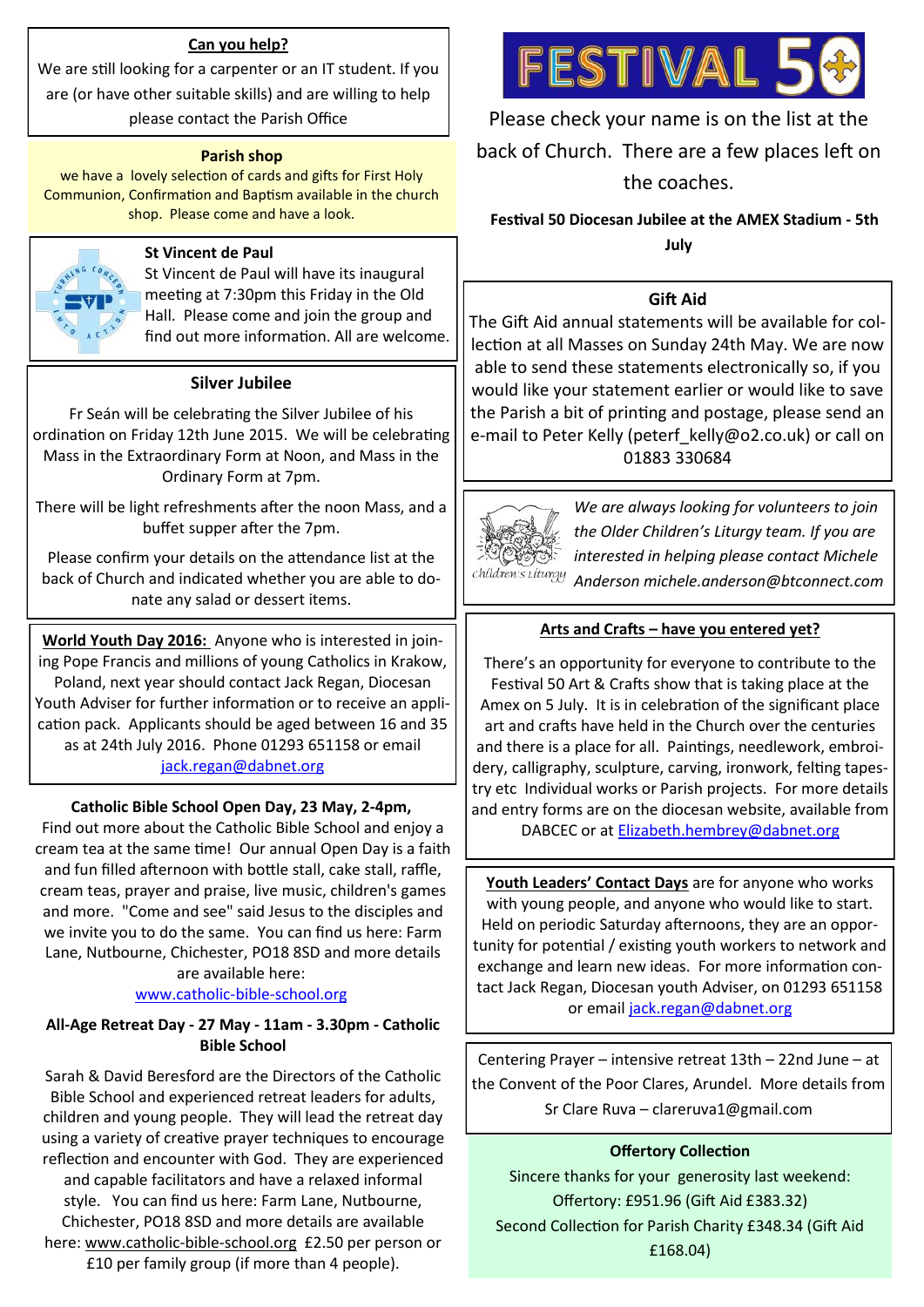### **Can you help?**

We are still looking for a carpenter or an IT student. If you are (or have other suitable skills) and are willing to help

please contact the Parish Office

### **Parish shop**

we have a lovely selection of cards and gifts for First Holy Communion, Confirmation and Baptism available in the church shop. Please come and have a look.



St Vincent de Paul will have its inaugural meeting at 7:30pm this Friday in the Old Hall. Please come and join the group and find out more information. All are welcome.

### **Silver Jubilee**

Fr Seán will be celebrating the Silver Jubilee of his ordination on Friday 12th June 2015. We will be celebrating Mass in the Extraordinary Form at Noon, and Mass in the Ordinary Form at 7pm.

There will be light refreshments after the noon Mass, and a buffet supper after the 7pm.

Please confirm your details on the attendance list at the back of Church and indicated whether you are able to donate any salad or dessert items.

**World Youth Day 2016:** Anyone who is interested in joining Pope Francis and millions of young Catholics in Krakow, Poland, next year should contact Jack Regan, Diocesan Youth Adviser for further information or to receive an application pack. Applicants should be aged between 16 and 35 as at 24th July 2016. Phone 01293 651158 or email [jack.regan@dabnet.org](mailto:jack.regan@dabnet.org)

### **Catholic Bible School Open Day, 23 May, 2-4pm,**

Find out more about the Catholic Bible School and enjoy a cream tea at the same time! Our annual Open Day is a faith and fun filled afternoon with bottle stall, cake stall, raffle, cream teas, prayer and praise, live music, children's games and more. "Come and see" said Jesus to the disciples and we invite you to do the same. You can find us here: Farm Lane, Nutbourne, Chichester, PO18 8SD and more details are available here:

### [www.catholic](http://www.catholic-bible-school.org/)-bible-school.org

### **All-Age Retreat Day - 27 May - 11am - 3.30pm - Catholic Bible School**

Sarah & David Beresford are the Directors of the Catholic Bible School and experienced retreat leaders for adults, children and young people. They will lead the retreat day using a variety of creative prayer techniques to encourage reflection and encounter with God. They are experienced and capable facilitators and have a relaxed informal style. You can find us here: Farm Lane, Nutbourne, Chichester, PO18 8SD and more details are available here: [www.catholic](http://www.catholic-bible-school.org/)-bible-school.org £2.50 per person or £10 per family group (if more than 4 people).



Please check your name is on the list at the back of Church. There are a few places left on the coaches.

### **Festival 50 Diocesan Jubilee at the AMEX Stadium - 5th July St Vincent de Paul**

### **Gift Aid**

The Gift Aid annual statements will be available for collection at all Masses on Sunday 24th May. We are now able to send these statements electronically so, if you would like your statement earlier or would like to save the Parish a bit of printing and postage, please send an e-mail to Peter Kelly (peterf kelly@o2.co.uk) or call on 01883 330684



*We are always looking for volunteers to join the Older Children's Liturgy team. If you are interested in helping please contact Michele Anderson michele.anderson@btconnect.com*

### **Arts and Crafts – have you entered yet?**

There's an opportunity for everyone to contribute to the Festival 50 Art & Crafts show that is taking place at the Amex on 5 July. It is in celebration of the significant place art and crafts have held in the Church over the centuries and there is a place for all. Paintings, needlework, embroidery, calligraphy, sculpture, carving, ironwork, felting tapestry etc Individual works or Parish projects. For more details and entry forms are on the diocesan website, available from DABCEC or at [Elizabeth.hembrey@dabnet.org](mailto:Elizabeth.hembrey@dabnet.org)

**Youth Leaders' Contact Days** are for anyone who works with young people, and anyone who would like to start. Held on periodic Saturday afternoons, they are an opportunity for potential / existing youth workers to network and exchange and learn new ideas. For more information contact Jack Regan, Diocesan youth Adviser, on 01293 651158 or email [jack.regan@dabnet.org](mailto:jack.regan@dabnet.org)

Centering Prayer – intensive retreat 13th – 22nd June – at the Convent of the Poor Clares, Arundel. More details from Sr Clare Ruva – clareruva1@gmail.com

### **Offertory Collection**

Sincere thanks for your generosity last weekend: Offertory: £951.96 (Gift Aid £383.32) Second Collection for Parish Charity £348.34 (Gift Aid £168.04)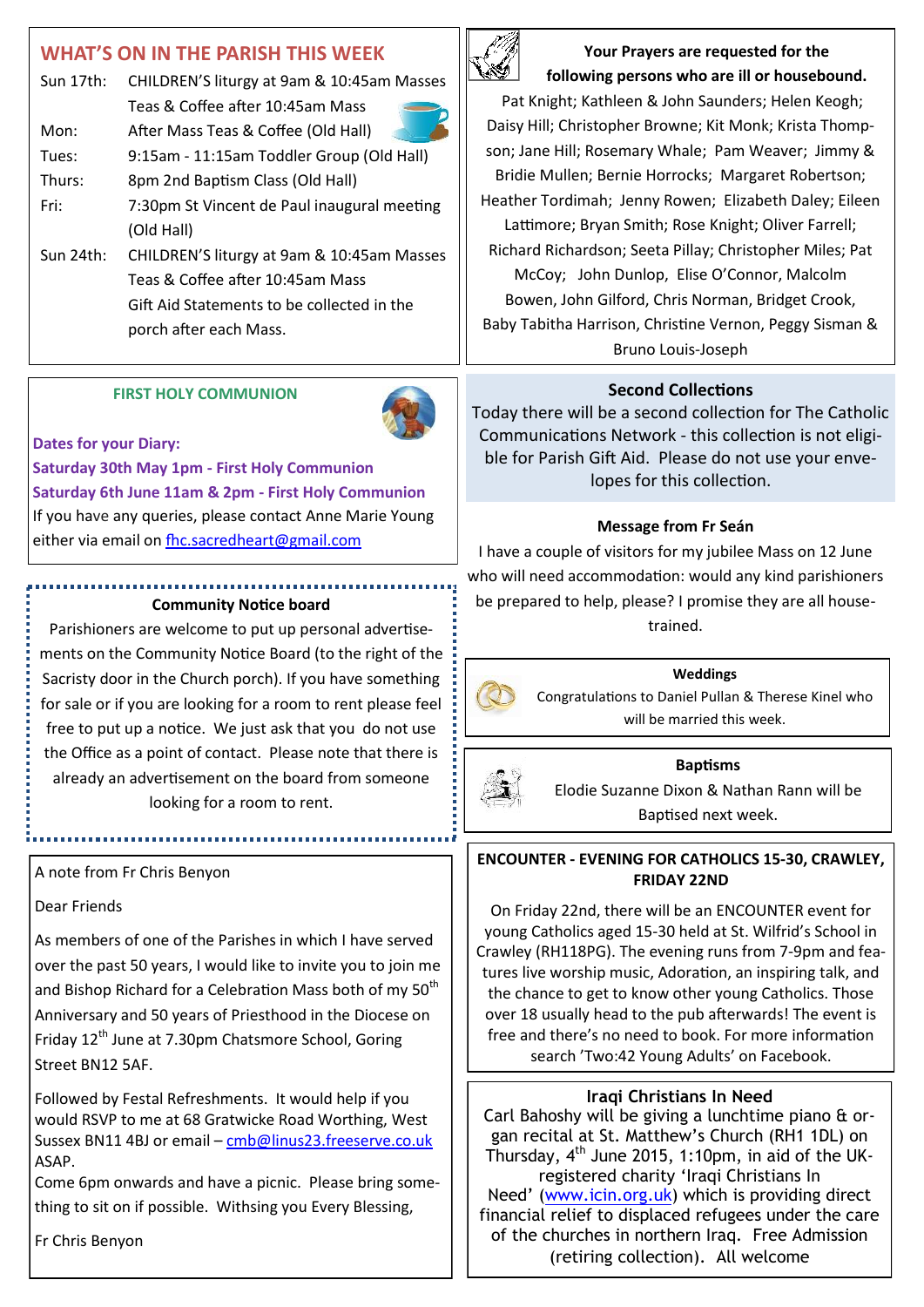## **WHAT'S ON IN THE PARISH THIS WEEK**

| Sun 17th: | CHILDREN'S liturgy at 9am & 10:45am Masses  |  |
|-----------|---------------------------------------------|--|
|           | Teas & Coffee after 10:45am Mass            |  |
| Mon:      | After Mass Teas & Coffee (Old Hall)         |  |
| Tues:     | 9:15am - 11:15am Toddler Group (Old Hall)   |  |
| Thurs:    | 8pm 2nd Baptism Class (Old Hall)            |  |
| Fri:      | 7:30pm St Vincent de Paul inaugural meeting |  |
|           | (Old Hall)                                  |  |
| Sun 24th: | CHILDREN'S liturgy at 9am & 10:45am Masses  |  |
|           | Teas & Coffee after 10:45am Mass            |  |
|           | Gift Aid Statements to be collected in the  |  |
|           | porch after each Mass.                      |  |
|           |                                             |  |

### **FIRST HOLY COMMUNION**



### **Dates for your Diary:**

**Saturday 30th May 1pm - First Holy Communion Saturday 6th June 11am & 2pm - First Holy Communion** If you have any queries, please contact Anne Marie Young either via email on [fhc.sacredheart@gmail.com](mailto:fhc.sacredheart@gmail.com) 

### **Community Notice board**

Parishioners are welcome to put up personal advertisements on the Community Notice Board (to the right of the Sacristy door in the Church porch). If you have something for sale or if you are looking for a room to rent please feel free to put up a notice. We just ask that you do not use the Office as a point of contact. Please note that there is already an advertisement on the board from someone looking for a room to rent.

### A note from Fr Chris Benyon

### Dear Friends

As members of one of the Parishes in which I have served over the past 50 years, I would like to invite you to join me and Bishop Richard for a Celebration Mass both of my 50<sup>th</sup> Anniversary and 50 years of Priesthood in the Diocese on Friday 12<sup>th</sup> June at 7.30pm Chatsmore School, Goring Street BN12 5AF.

Followed by Festal Refreshments. It would help if you would RSVP to me at 68 Gratwicke Road Worthing, West Sussex BN11 4BJ or email – [cmb@linus23.freeserve.co.uk](mailto:cmb@linus23.freeserve.co.uk) ASAP.

Come 6pm onwards and have a picnic. Please bring something to sit on if possible. Withsing you Every Blessing,

Fr Chris Benyon



**Your Prayers are requested for the following persons who are ill or housebound.** 

Pat Knight; Kathleen & John Saunders; Helen Keogh; Daisy Hill; Christopher Browne; Kit Monk; Krista Thompson; Jane Hill; Rosemary Whale; Pam Weaver; Jimmy & Bridie Mullen; Bernie Horrocks; Margaret Robertson; Heather Tordimah; Jenny Rowen; Elizabeth Daley; Eileen Lattimore; Bryan Smith; Rose Knight; Oliver Farrell; Richard Richardson; Seeta Pillay; Christopher Miles; Pat McCoy; John Dunlop, Elise O'Connor, Malcolm Bowen, John Gilford, Chris Norman, Bridget Crook, Baby Tabitha Harrison, Christine Vernon, Peggy Sisman & Bruno Louis-Joseph

### **Second Collections**

Today there will be a second collection for The Catholic Communications Network - this collection is not eligible for Parish Gift Aid. Please do not use your envelopes for this collection.

### **Message from Fr Seán**

I have a couple of visitors for my jubilee Mass on 12 June who will need accommodation: would any kind parishioners be prepared to help, please? I promise they are all housetrained.

#### **Weddings**

Congratulations to Daniel Pullan & Therese Kinel who will be married this week.



#### **Baptisms**

Elodie Suzanne Dixon & Nathan Rann will be Baptised next week.

### **ENCOUNTER - EVENING FOR CATHOLICS 15-30, CRAWLEY, FRIDAY 22ND**

On Friday 22nd, there will be an ENCOUNTER event for young Catholics aged 15-30 held at St. Wilfrid's School in Crawley (RH118PG). The evening runs from 7-9pm and features live worship music, Adoration, an inspiring talk, and the chance to get to know other young Catholics. Those over 18 usually head to the pub afterwards! The event is free and there's no need to book. For more information search 'Two:42 Young Adults' on Facebook.

### **Iraqi Christians In Need**

Carl Bahoshy will be giving a lunchtime piano & organ recital at St. Matthew's Church (RH1 1DL) on Thursday,  $4<sup>th</sup>$  June 2015, 1:10pm, in aid of the UKregistered charity 'Iraqi Christians In Need' ([www.icin.org.uk\)](http://www.icin.org.uk/) which is providing direct financial relief to displaced refugees under the care of the churches in northern Iraq. Free Admission (retiring collection). All welcome